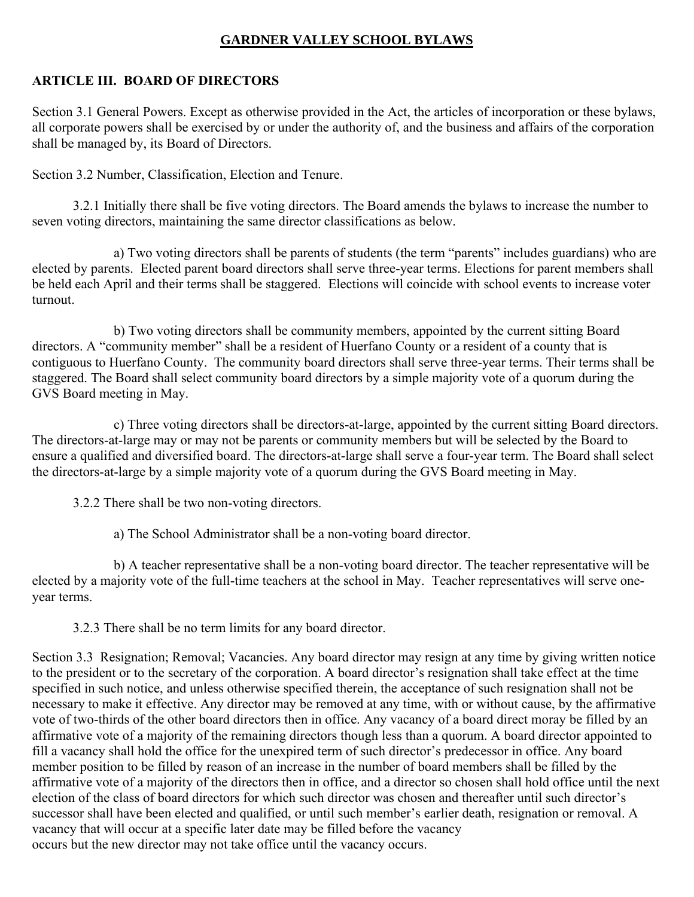## **GARDNER VALLEY SCHOOL BYLAWS**

## **ARTICLE III. BOARD OF DIRECTORS**

Section 3.1 General Powers. Except as otherwise provided in the Act, the articles of incorporation or these bylaws, all corporate powers shall be exercised by or under the authority of, and the business and affairs of the corporation shall be managed by, its Board of Directors.

Section 3.2 Number, Classification, Election and Tenure.

3.2.1 Initially there shall be five voting directors. The Board amends the bylaws to increase the number to seven voting directors, maintaining the same director classifications as below.

a) Two voting directors shall be parents of students (the term "parents" includes guardians) who are elected by parents. Elected parent board directors shall serve three-year terms. Elections for parent members shall be held each April and their terms shall be staggered. Elections will coincide with school events to increase voter turnout.

b) Two voting directors shall be community members, appointed by the current sitting Board directors. A "community member" shall be a resident of Huerfano County or a resident of a county that is contiguous to Huerfano County. The community board directors shall serve three-year terms. Their terms shall be staggered. The Board shall select community board directors by a simple majority vote of a quorum during the GVS Board meeting in May.

c) Three voting directors shall be directors-at-large, appointed by the current sitting Board directors. The directors-at-large may or may not be parents or community members but will be selected by the Board to ensure a qualified and diversified board. The directors-at-large shall serve a four-year term. The Board shall select the directors-at-large by a simple majority vote of a quorum during the GVS Board meeting in May.

3.2.2 There shall be two non-voting directors.

a) The School Administrator shall be a non-voting board director.

b) A teacher representative shall be a non-voting board director. The teacher representative will be elected by a majority vote of the full-time teachers at the school in May. Teacher representatives will serve oneyear terms.

3.2.3 There shall be no term limits for any board director.

Section 3.3 Resignation; Removal; Vacancies. Any board director may resign at any time by giving written notice to the president or to the secretary of the corporation. A board director's resignation shall take effect at the time specified in such notice, and unless otherwise specified therein, the acceptance of such resignation shall not be necessary to make it effective. Any director may be removed at any time, with or without cause, by the affirmative vote of two-thirds of the other board directors then in office. Any vacancy of a board direct moray be filled by an affirmative vote of a majority of the remaining directors though less than a quorum. A board director appointed to fill a vacancy shall hold the office for the unexpired term of such director's predecessor in office. Any board member position to be filled by reason of an increase in the number of board members shall be filled by the affirmative vote of a majority of the directors then in office, and a director so chosen shall hold office until the next election of the class of board directors for which such director was chosen and thereafter until such director's successor shall have been elected and qualified, or until such member's earlier death, resignation or removal. A vacancy that will occur at a specific later date may be filled before the vacancy occurs but the new director may not take office until the vacancy occurs.